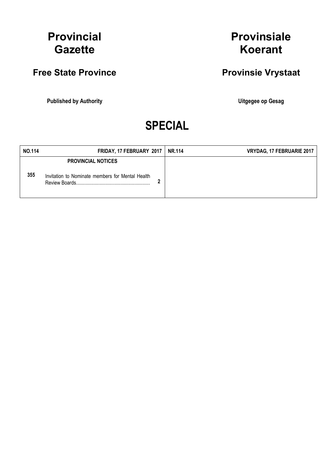## Provincial **Gazette**

## Free State Province **Provinsie Vrystaat**

Published by Authority **National Execution Control Control Control Control Control Control Control Control Control Control Control Control Control Control Control Control Control Control Control Control Control Control Con** 

## Provinsiale Koerant

# SPECIAL

| <b>NO.114</b> | FRIDAY, 17 FEBRUARY 2017                                                                       | <b>NR.114</b> | VRYDAG, 17 FEBRUARIE 2017 |
|---------------|------------------------------------------------------------------------------------------------|---------------|---------------------------|
| 355           | <b>PROVINCIAL NOTICES</b><br>Invitation to Nominate members for Mental Health<br>Review Boards |               |                           |
|               |                                                                                                |               |                           |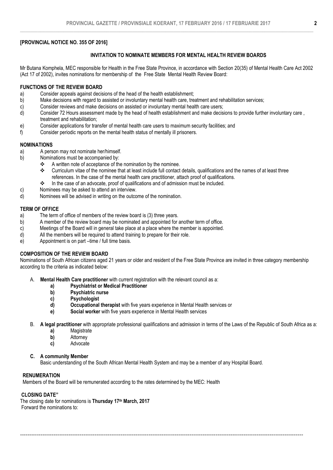#### [PROVINCIAL NOTICE NO. 355 OF 2016]

#### INVITATION TO NOMINATE MEMBERS FOR MENTAL HEALTH REVIEW BOARDS

Mr Butana Komphela, MEC responsible for Health in the Free State Province, in accordance with Section 20(35) of Mental Health Care Act 2002 (Act 17 of 2002), invites nominations for membership of the Free State Mental Health Review Board:

#### FUNCTIONS OF THE REVIEW BOARD

- a) Consider appeals against decisions of the head of the health establishment;
- b) Make decisions with regard to assisted or involuntary mental health care, treatment and rehabilitation services;
- c) Consider reviews and make decisions on assisted or involuntary mental health care users;
- d) Consider 72 Hours assessment made by the head of health establishment and make decisions to provide further involuntary care , treatment and rehabilitation;
- e) Consider applications for transfer of mental health care users to maximum security facilities; and <br>f) Consider periodic reports on the mental health status of mentally ill prisoners.
- f) Consider periodic reports on the mental health status of mentally ill prisoners.

#### NOMINATIONS

- a) A person may not nominate her/himself.
- b) Nominations must be accompanied by:
	- A written note of acceptance of the nomination by the nominee.<br>
	Curriculum vitae of the nominee that at least include full contact
		- Curriculum vitae of the nominee that at least include full contact details, qualifications and the names of at least three references. In the case of the mental health care practitioner, attach proof of qualifications.
		- $\cdot \cdot$  In the case of an advocate, proof of qualifications and of admission must be included.
- c) Nominees may be asked to attend an interview.
- d) Nominees will be advised in writing on the outcome of the nomination.

#### TERM OF OFFICE

- a) The term of office of members of the review board is (3) three years.
- b) A member of the review board may be nominated and appointed for another term of office.
- c) Meetings of the Board will in general take place at a place where the member is appointed.
- d) All the members will be required to attend training to prepare for their role.
- e) Appointment is on part –time / full time basis.

### COMPOSITION OF THE REVIEW BOARD

Nominations of South African citizens aged 21 years or older and resident of the Free State Province are invited in three category membership according to the criteria as indicated below:

- A. Mental Health Care practitioner with current registration with the relevant council as a:
	- a) Psychiatrist or Medical Practitioner<br>b) Psychiatric nurse
	- b) Psychiatric nurse<br>
	c) Psychologist
	- Psychologist
	- d) Occupational therapist with five years experience in Mental Health services or
	- e) Social worker with five years experience in Mental Health services
- B. A legal practitioner with appropriate professional qualifications and admission in terms of the Laws of the Republic of South Africa as a:
	- a) Magistrate
	- b) Attorney<br> **c**) Advocate
	- **Advocate**

#### C. A community Member

Basic understanding of the South African Mental Health System and may be a member of any Hospital Board.

--------------------------------------------------------------------------------------------------------------------------------------------------------

#### **RENUMERATION**

Members of the Board will be remunerated according to the rates determined by the MEC: Health

#### CLOSING DATE"

The closing date for nominations is Thursday 17th March, 2017 Forward the nominations to: